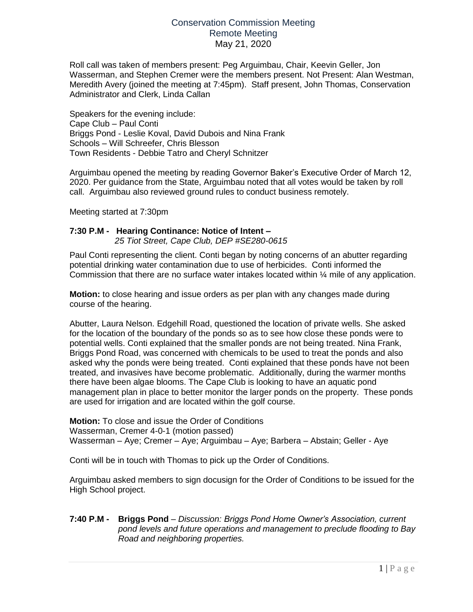# Conservation Commission Meeting Remote Meeting May 21, 2020

Roll call was taken of members present: Peg Arguimbau, Chair, Keevin Geller, Jon Wasserman, and Stephen Cremer were the members present. Not Present: Alan Westman, Meredith Avery (joined the meeting at 7:45pm). Staff present, John Thomas, Conservation Administrator and Clerk, Linda Callan

Speakers for the evening include: Cape Club – Paul Conti Briggs Pond - Leslie Koval, David Dubois and Nina Frank Schools – Will Schreefer, Chris Blesson Town Residents - Debbie Tatro and Cheryl Schnitzer

Arguimbau opened the meeting by reading Governor Baker's Executive Order of March 12, 2020. Per guidance from the State, Arguimbau noted that all votes would be taken by roll call. Arguimbau also reviewed ground rules to conduct business remotely.

Meeting started at 7:30pm

### **7:30 P.M - Hearing Continance: Notice of Intent –**

*25 Tiot Street, Cape Club, DEP #SE280-0615*

Paul Conti representing the client. Conti began by noting concerns of an abutter regarding potential drinking water contamination due to use of herbicides. Conti informed the Commission that there are no surface water intakes located within ¼ mile of any application.

**Motion:** to close hearing and issue orders as per plan with any changes made during course of the hearing.

Abutter, Laura Nelson. Edgehill Road, questioned the location of private wells. She asked for the location of the boundary of the ponds so as to see how close these ponds were to potential wells. Conti explained that the smaller ponds are not being treated. Nina Frank, Briggs Pond Road, was concerned with chemicals to be used to treat the ponds and also asked why the ponds were being treated. Conti explained that these ponds have not been treated, and invasives have become problematic. Additionally, during the warmer months there have been algae blooms. The Cape Club is looking to have an aquatic pond management plan in place to better monitor the larger ponds on the property. These ponds are used for irrigation and are located within the golf course.

**Motion:** To close and issue the Order of Conditions Wasserman, Cremer 4-0-1 (motion passed) Wasserman – Aye; Cremer – Aye; Arguimbau – Aye; Barbera – Abstain; Geller - Aye

Conti will be in touch with Thomas to pick up the Order of Conditions.

Arguimbau asked members to sign docusign for the Order of Conditions to be issued for the High School project.

### **7:40 P.M - Briggs Pond** – *Discussion: Briggs Pond Home Owner's Association, current pond levels and future operations and management to preclude flooding to Bay Road and neighboring properties.*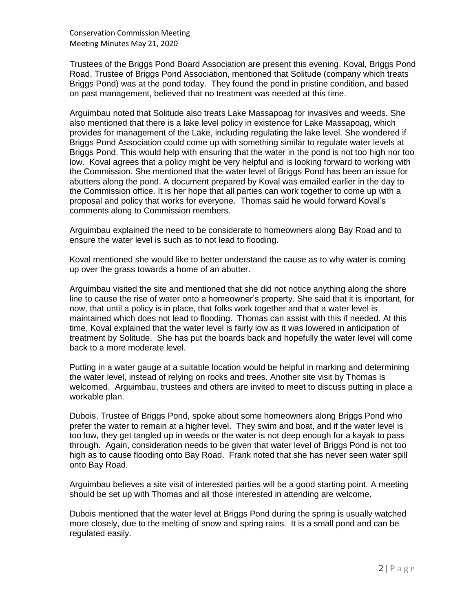Conservation Commission Meeting Meeting Minutes May 21, 2020

Trustees of the Briggs Pond Board Association are present this evening. Koval, Briggs Pond Road, Trustee of Briggs Pond Association, mentioned that Solitude (company which treats Briggs Pond) was at the pond today. They found the pond in pristine condition, and based on past management, believed that no treatment was needed at this time.

Arguimbau noted that Solitude also treats Lake Massapoag for invasives and weeds. She also mentioned that there is a lake level policy in existence for Lake Massapoag, which provides for management of the Lake, including regulating the lake level. She wondered if Briggs Pond Association could come up with something similar to regulate water levels at Briggs Pond. This would help with ensuring that the water in the pond is not too high nor too low. Koval agrees that a policy might be very helpful and is looking forward to working with the Commission. She mentioned that the water level of Briggs Pond has been an issue for abutters along the pond. A document prepared by Koval was emailed earlier in the day to the Commission office. It is her hope that all parties can work together to come up with a proposal and policy that works for everyone. Thomas said he would forward Koval's comments along to Commission members.

Arguimbau explained the need to be considerate to homeowners along Bay Road and to ensure the water level is such as to not lead to flooding.

Koval mentioned she would like to better understand the cause as to why water is coming up over the grass towards a home of an abutter.

Arguimbau visited the site and mentioned that she did not notice anything along the shore line to cause the rise of water onto a homeowner's property. She said that it is important, for now, that until a policy is in place, that folks work together and that a water level is maintained which does not lead to flooding. Thomas can assist with this if needed. At this time, Koval explained that the water level is fairly low as it was lowered in anticipation of treatment by Solitude. She has put the boards back and hopefully the water level will come back to a more moderate level.

Putting in a water gauge at a suitable location would be helpful in marking and determining the water level, instead of relying on rocks and trees. Another site visit by Thomas is welcomed. Arguimbau, trustees and others are invited to meet to discuss putting in place a workable plan.

Dubois, Trustee of Briggs Pond, spoke about some homeowners along Briggs Pond who prefer the water to remain at a higher level. They swim and boat, and if the water level is too low, they get tangled up in weeds or the water is not deep enough for a kayak to pass through. Again, consideration needs to be given that water level of Briggs Pond is not too high as to cause flooding onto Bay Road. Frank noted that she has never seen water spill onto Bay Road.

Arguimbau believes a site visit of interested parties will be a good starting point. A meeting should be set up with Thomas and all those interested in attending are welcome.

Dubois mentioned that the water level at Briggs Pond during the spring is usually watched more closely, due to the melting of snow and spring rains. It is a small pond and can be regulated easily.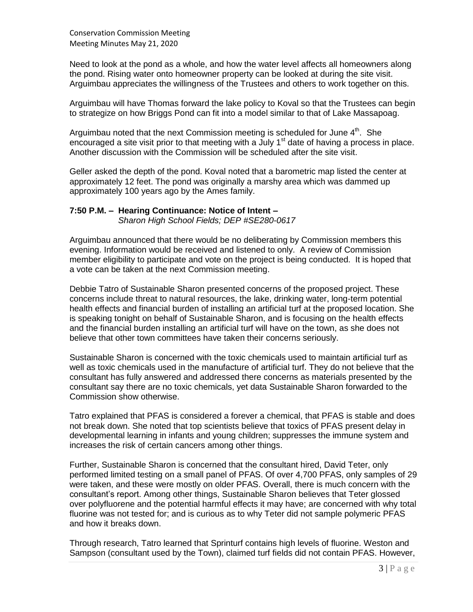Need to look at the pond as a whole, and how the water level affects all homeowners along the pond. Rising water onto homeowner property can be looked at during the site visit. Arguimbau appreciates the willingness of the Trustees and others to work together on this.

Arguimbau will have Thomas forward the lake policy to Koval so that the Trustees can begin to strategize on how Briggs Pond can fit into a model similar to that of Lake Massapoag.

Arguimbau noted that the next Commission meeting is scheduled for June  $4<sup>th</sup>$ . She encouraged a site visit prior to that meeting with a July  $1<sup>st</sup>$  date of having a process in place. Another discussion with the Commission will be scheduled after the site visit.

Geller asked the depth of the pond. Koval noted that a barometric map listed the center at approximately 12 feet. The pond was originally a marshy area which was dammed up approximately 100 years ago by the Ames family.

# **7:50 P.M. – Hearing Continuance: Notice of Intent –**

*Sharon High School Fields; DEP #SE280-0617*

Arguimbau announced that there would be no deliberating by Commission members this evening. Information would be received and listened to only. A review of Commission member eligibility to participate and vote on the project is being conducted. It is hoped that a vote can be taken at the next Commission meeting.

Debbie Tatro of Sustainable Sharon presented concerns of the proposed project. These concerns include threat to natural resources, the lake, drinking water, long-term potential health effects and financial burden of installing an artificial turf at the proposed location. She is speaking tonight on behalf of Sustainable Sharon, and is focusing on the health effects and the financial burden installing an artificial turf will have on the town, as she does not believe that other town committees have taken their concerns seriously.

Sustainable Sharon is concerned with the toxic chemicals used to maintain artificial turf as well as toxic chemicals used in the manufacture of artificial turf. They do not believe that the consultant has fully answered and addressed there concerns as materials presented by the consultant say there are no toxic chemicals, yet data Sustainable Sharon forwarded to the Commission show otherwise.

Tatro explained that PFAS is considered a forever a chemical, that PFAS is stable and does not break down. She noted that top scientists believe that toxics of PFAS present delay in developmental learning in infants and young children; suppresses the immune system and increases the risk of certain cancers among other things.

Further, Sustainable Sharon is concerned that the consultant hired, David Teter, only performed limited testing on a small panel of PFAS. Of over 4,700 PFAS, only samples of 29 were taken, and these were mostly on older PFAS. Overall, there is much concern with the consultant's report. Among other things, Sustainable Sharon believes that Teter glossed over polyfluorene and the potential harmful effects it may have; are concerned with why total fluorine was not tested for; and is curious as to why Teter did not sample polymeric PFAS and how it breaks down.

Through research, Tatro learned that Sprinturf contains high levels of fluorine. Weston and Sampson (consultant used by the Town), claimed turf fields did not contain PFAS. However,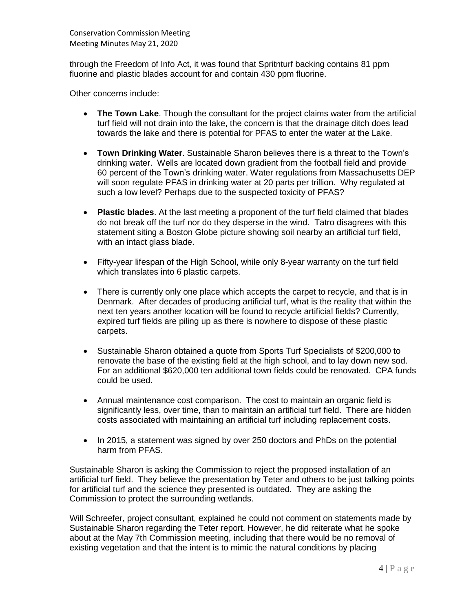Conservation Commission Meeting Meeting Minutes May 21, 2020

through the Freedom of Info Act, it was found that Spritnturf backing contains 81 ppm fluorine and plastic blades account for and contain 430 ppm fluorine.

Other concerns include:

- **The Town Lake**. Though the consultant for the project claims water from the artificial turf field will not drain into the lake, the concern is that the drainage ditch does lead towards the lake and there is potential for PFAS to enter the water at the Lake.
- **Town Drinking Water**. Sustainable Sharon believes there is a threat to the Town's drinking water. Wells are located down gradient from the football field and provide 60 percent of the Town's drinking water. Water regulations from Massachusetts DEP will soon regulate PFAS in drinking water at 20 parts per trillion. Why regulated at such a low level? Perhaps due to the suspected toxicity of PFAS?
- **Plastic blades**. At the last meeting a proponent of the turf field claimed that blades do not break off the turf nor do they disperse in the wind. Tatro disagrees with this statement siting a Boston Globe picture showing soil nearby an artificial turf field, with an intact glass blade.
- Fifty-year lifespan of the High School, while only 8-year warranty on the turf field which translates into 6 plastic carpets.
- There is currently only one place which accepts the carpet to recycle, and that is in Denmark. After decades of producing artificial turf, what is the reality that within the next ten years another location will be found to recycle artificial fields? Currently, expired turf fields are piling up as there is nowhere to dispose of these plastic carpets.
- Sustainable Sharon obtained a quote from Sports Turf Specialists of \$200,000 to renovate the base of the existing field at the high school, and to lay down new sod. For an additional \$620,000 ten additional town fields could be renovated. CPA funds could be used.
- Annual maintenance cost comparison. The cost to maintain an organic field is significantly less, over time, than to maintain an artificial turf field. There are hidden costs associated with maintaining an artificial turf including replacement costs.
- In 2015, a statement was signed by over 250 doctors and PhDs on the potential harm from PFAS.

Sustainable Sharon is asking the Commission to reject the proposed installation of an artificial turf field. They believe the presentation by Teter and others to be just talking points for artificial turf and the science they presented is outdated. They are asking the Commission to protect the surrounding wetlands.

Will Schreefer, project consultant, explained he could not comment on statements made by Sustainable Sharon regarding the Teter report. However, he did reiterate what he spoke about at the May 7th Commission meeting, including that there would be no removal of existing vegetation and that the intent is to mimic the natural conditions by placing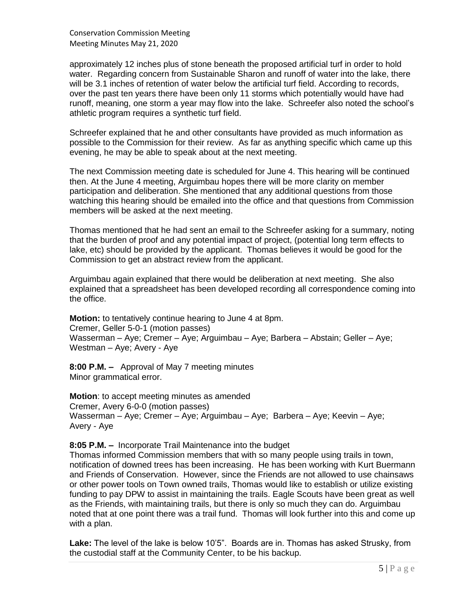Conservation Commission Meeting Meeting Minutes May 21, 2020

approximately 12 inches plus of stone beneath the proposed artificial turf in order to hold water. Regarding concern from Sustainable Sharon and runoff of water into the lake, there will be 3.1 inches of retention of water below the artificial turf field. According to records, over the past ten years there have been only 11 storms which potentially would have had runoff, meaning, one storm a year may flow into the lake. Schreefer also noted the school's athletic program requires a synthetic turf field.

Schreefer explained that he and other consultants have provided as much information as possible to the Commission for their review. As far as anything specific which came up this evening, he may be able to speak about at the next meeting.

The next Commission meeting date is scheduled for June 4. This hearing will be continued then. At the June 4 meeting, Arguimbau hopes there will be more clarity on member participation and deliberation. She mentioned that any additional questions from those watching this hearing should be emailed into the office and that questions from Commission members will be asked at the next meeting.

Thomas mentioned that he had sent an email to the Schreefer asking for a summary, noting that the burden of proof and any potential impact of project, (potential long term effects to lake, etc) should be provided by the applicant. Thomas believes it would be good for the Commission to get an abstract review from the applicant.

Arguimbau again explained that there would be deliberation at next meeting. She also explained that a spreadsheet has been developed recording all correspondence coming into the office.

**Motion:** to tentatively continue hearing to June 4 at 8pm. Cremer, Geller 5-0-1 (motion passes) Wasserman – Aye; Cremer – Aye; Arguimbau – Aye; Barbera – Abstain; Geller – Aye; Westman – Aye; Avery - Aye

**8:00 P.M. –** Approval of May 7 meeting minutes Minor grammatical error.

**Motion**: to accept meeting minutes as amended Cremer, Avery 6-0-0 (motion passes) Wasserman – Aye; Cremer – Aye; Arguimbau – Aye; Barbera – Aye; Keevin – Aye; Avery - Aye

#### **8:05 P.M. –** Incorporate Trail Maintenance into the budget

Thomas informed Commission members that with so many people using trails in town, notification of downed trees has been increasing. He has been working with Kurt Buermann and Friends of Conservation. However, since the Friends are not allowed to use chainsaws or other power tools on Town owned trails, Thomas would like to establish or utilize existing funding to pay DPW to assist in maintaining the trails. Eagle Scouts have been great as well as the Friends, with maintaining trails, but there is only so much they can do. Arguimbau noted that at one point there was a trail fund. Thomas will look further into this and come up with a plan.

**Lake:** The level of the lake is below 10'5". Boards are in. Thomas has asked Strusky, from the custodial staff at the Community Center, to be his backup.